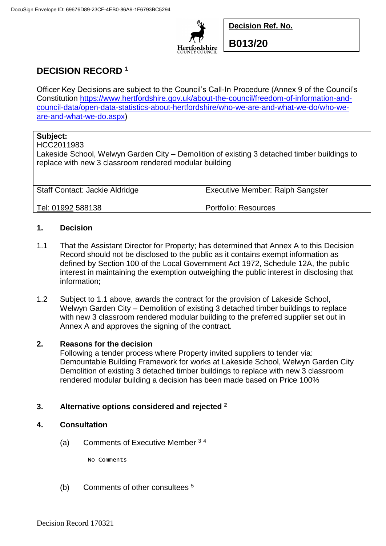

**Decision Ref. No.**

**B013/20**

# **DECISION RECORD <sup>1</sup>**

Officer Key Decisions are subject to the Council's Call-In Procedure (Annex 9 of the Council's Constitution [https://www.hertfordshire.gov.uk/about-the-council/freedom-of-information-and](https://www.hertfordshire.gov.uk/about-the-council/freedom-of-information-and-council-data/open-data-statistics-about-hertfordshire/who-we-are-and-what-we-do/who-we-are-and-what-we-do.aspx)[council-data/open-data-statistics-about-hertfordshire/who-we-are-and-what-we-do/who-we](https://www.hertfordshire.gov.uk/about-the-council/freedom-of-information-and-council-data/open-data-statistics-about-hertfordshire/who-we-are-and-what-we-do/who-we-are-and-what-we-do.aspx)[are-and-what-we-do.aspx\)](https://www.hertfordshire.gov.uk/about-the-council/freedom-of-information-and-council-data/open-data-statistics-about-hertfordshire/who-we-are-and-what-we-do/who-we-are-and-what-we-do.aspx)

## **Subject:**

#### HCC2011983

Lakeside School, Welwyn Garden City – Demolition of existing 3 detached timber buildings to replace with new 3 classroom rendered modular building

| <b>Staff Contact: Jackie Aldridge</b> | <b>Executive Member: Ralph Sangster</b> |
|---------------------------------------|-----------------------------------------|
| Tel: 01992 588138                     | Portfolio: Resources                    |

## **1. Decision**

- 1.1 That the Assistant Director for Property; has determined that Annex A to this Decision Record should not be disclosed to the public as it contains exempt information as defined by Section 100 of the Local Government Act 1972, Schedule 12A, the public interest in maintaining the exemption outweighing the public interest in disclosing that information;
- 1.2 Subject to 1.1 above, awards the contract for the provision of Lakeside School, Welwyn Garden City – Demolition of existing 3 detached timber buildings to replace with new 3 classroom rendered modular building to the preferred supplier set out in Annex A and approves the signing of the contract.

## **2. Reasons for the decision**

Following a tender process where Property invited suppliers to tender via: Demountable Building Framework for works at Lakeside School, Welwyn Garden City Demolition of existing 3 detached timber buildings to replace with new 3 classroom rendered modular building a decision has been made based on Price 100%

## **3. Alternative options considered and rejected <sup>2</sup>**

### **4. Consultation**

(a) Comments of Executive Member  $34$ 

No Comments

(b) Comments of other consultees <sup>5</sup>